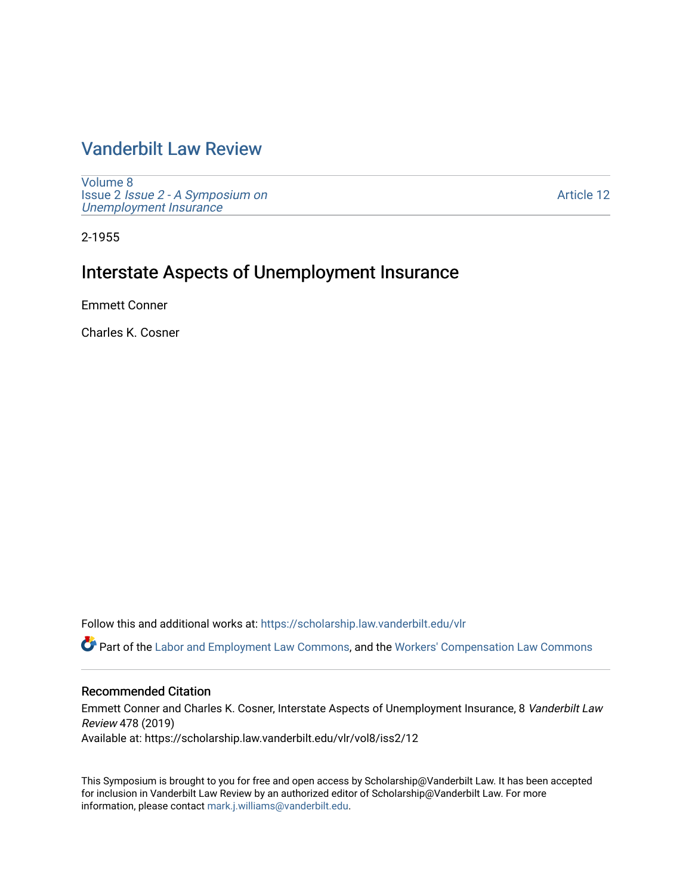## [Vanderbilt Law Review](https://scholarship.law.vanderbilt.edu/vlr)

[Volume 8](https://scholarship.law.vanderbilt.edu/vlr/vol8) Issue 2 [Issue 2 - A Symposium on](https://scholarship.law.vanderbilt.edu/vlr/vol8/iss2) [Unemployment Insurance](https://scholarship.law.vanderbilt.edu/vlr/vol8/iss2) 

[Article 12](https://scholarship.law.vanderbilt.edu/vlr/vol8/iss2/12) 

2-1955

# Interstate Aspects of Unemployment Insurance

Emmett Conner

Charles K. Cosner

Follow this and additional works at: [https://scholarship.law.vanderbilt.edu/vlr](https://scholarship.law.vanderbilt.edu/vlr?utm_source=scholarship.law.vanderbilt.edu%2Fvlr%2Fvol8%2Fiss2%2F12&utm_medium=PDF&utm_campaign=PDFCoverPages)

Part of the [Labor and Employment Law Commons](http://network.bepress.com/hgg/discipline/909?utm_source=scholarship.law.vanderbilt.edu%2Fvlr%2Fvol8%2Fiss2%2F12&utm_medium=PDF&utm_campaign=PDFCoverPages), and the [Workers' Compensation Law Commons](http://network.bepress.com/hgg/discipline/889?utm_source=scholarship.law.vanderbilt.edu%2Fvlr%2Fvol8%2Fiss2%2F12&utm_medium=PDF&utm_campaign=PDFCoverPages) 

## Recommended Citation

Emmett Conner and Charles K. Cosner, Interstate Aspects of Unemployment Insurance, 8 Vanderbilt Law Review 478 (2019) Available at: https://scholarship.law.vanderbilt.edu/vlr/vol8/iss2/12

This Symposium is brought to you for free and open access by Scholarship@Vanderbilt Law. It has been accepted for inclusion in Vanderbilt Law Review by an authorized editor of Scholarship@Vanderbilt Law. For more information, please contact [mark.j.williams@vanderbilt.edu](mailto:mark.j.williams@vanderbilt.edu).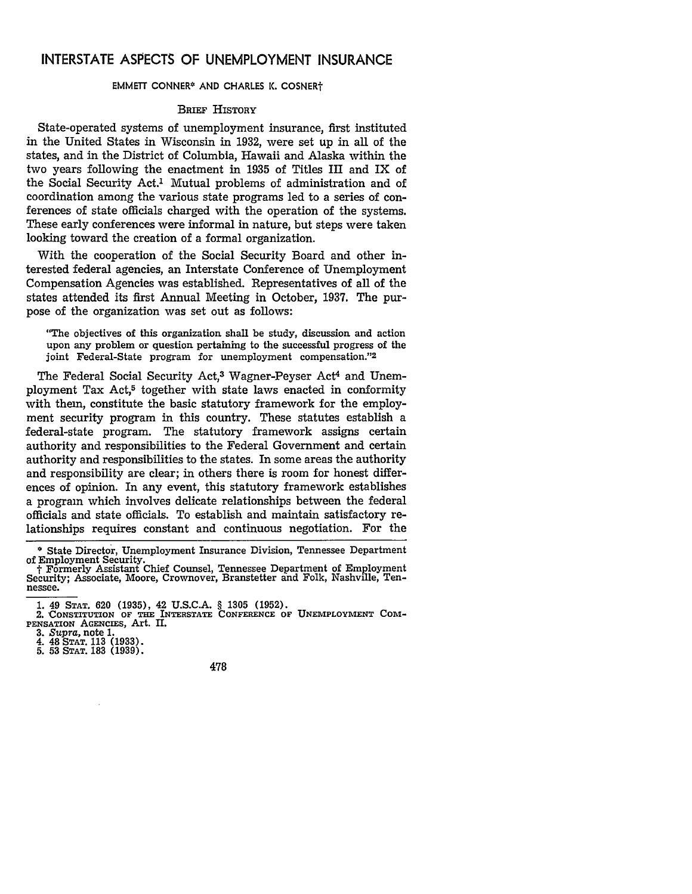## **INTERSTATE ASPECTS** OF **UNEMPLOYMENT INSURANCE**

#### EMMETT CONNER\* AND CHARLES K. COSNERt

#### **BRIEF HISTORY**

State-operated systems of unemployment insurance, first instituted in the United States in Wisconsin in 1932, were set up in all of the states, and in the District of Columbia, Hawaii and Alaska within the two years following the enactment in 1935 of Titles III and IX of the Social Security Act.' Mutual problems of administration and of coordination among the various state programs led to a series of conferences of state officials charged with the operation of the systems. These early conferences were informal in nature, but steps were taken looking toward the creation of a formal organization.

With the cooperation of the Social Security Board and other interested federal agencies, an Interstate Conference of Unemployment Compensation Agencies was established. Representatives of all of the states attended its first Annual Meeting in October, 1937. The purpose of the organization was set out as follows:

"The objectives of this organization shall be study, discussion and action upon any problem or question pertaining to the successful progress of the joint Federal-State program for unemployment compensation."<sup>2</sup>

The Federal Social Security Act,<sup>3</sup> Wagner-Peyser Act<sup>4</sup> and Unemployment Tax Act,<sup>5</sup> together with state laws enacted in conformity with them, constitute the basic statutory framework for the employment security program in this country. These statutes establish a federal-state program. The statutory framework assigns certain authority and responsibilities to the Federal Government and certain authority and responsibilities to the states. In some areas the authority and responsibility are clear; in others there is room for honest differences of opinion. In any event, this statutory framework establishes a program which involves delicate relationships between the federal officials and state officials. To establish and maintain satisfactory relationships requires constant and continuous negotiation. For the

<sup>\*</sup> State Director, Unemployment Insurance Division, Tennessee Department

of Employment Security.<br> **I**Formerly Assistant Chief Counsel, Tennessee Department of Employment<br>
Security; Associate, Moore, Crownover, Branstetter and Folk, Nashville, Tennessee.

**<sup>1.</sup>** 49 **STAT. 620** (1935), 42 **U.S.C.A.** § 1305 (1952).

<sup>2.</sup> CONSTITUTION OF THE INTERSTATE CONFERENCE OF UNEMPLOYMENT COM-**PENSATiON AGENcIES,** Art. II.

**<sup>3.</sup>** *Supra,* note **1.** 4. 48 **STAT. 113 (1933).**

**<sup>5. 53</sup> STAT. 183 (1939).**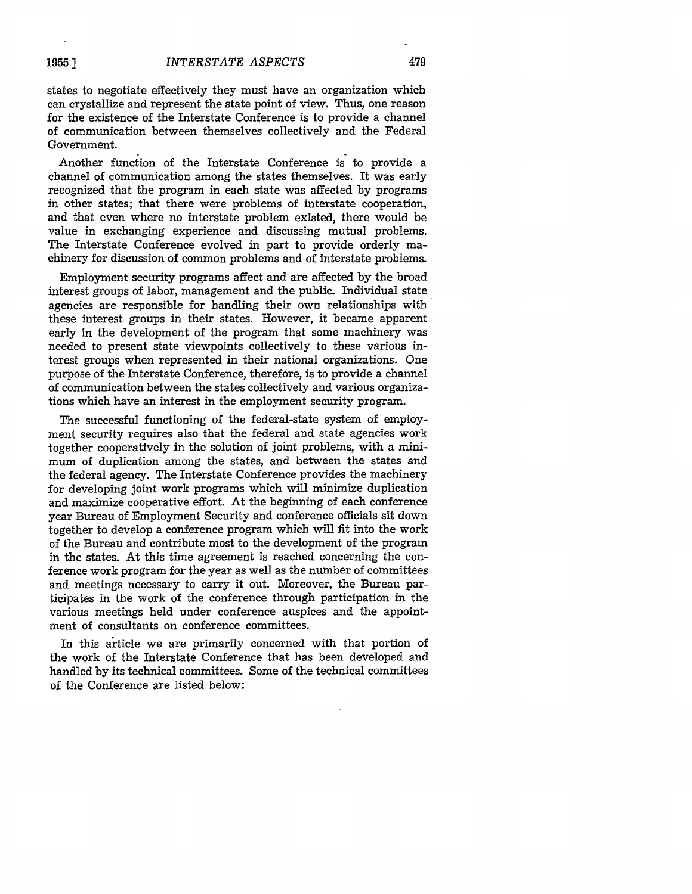479

states to negotiate effectively they must have an organization which can crystallize and represent the state point of view. Thus, one reason for the existence of the Interstate Conference is to provide a channel of communication between themselves collectively and the Federal Government.

Another function of the Interstate Conference is to provide a channel of communication among the states themselves. It was early recognized that the program in each state was affected by programs in other states; that there were problems of interstate cooperation, and that even where no interstate problem existed, there would be value in exchanging experience and discussing mutual problems. The Interstate Conference evolved in part to provide orderly machinery for discussion of common problems and of interstate problems.

Employment security programs affect and are affected by the broad interest groups of labor, management and the public. Individual state agencies are responsible for handling their own relationships with these interest groups in their states. However, it became apparent early in the development of the program that some machinery was needed to present state viewpoints collectively to these various interest groups when represented in their national organizations. One purpose of the Interstate Conference, therefore, is to provide a channel of communication between the states collectively and various organizations which have an interest in the employment security program.

The successful functioning of the federal-state system of employment security requires also that the federal and state agencies work together cooperatively in the solution of joint problems, with a minimum of duplication among the states, and between the states and the federal agency. The Interstate Conference provides the machinery for developing joint work programs which will minimize duplication and maximize cooperative effort. At the beginning of each conference year Bureau of Employment Security and conference officials sit down together to develop a conference program which will fit into the work of the Bureau and contribute most to the development of the program in the states. At this time agreement is reached concerning the conference work program for the year as well as the number of committees and meetings necessary to carry it out. Moreover, the Bureau participates in the work of the conference through participation in the various meetings held under conference auspices and the appointment of consultants on conference committees.

In this article we are primarily concerned with that portion of the work of the Interstate Conference that has been developed and handled by its technical committees. Some of the technical committees of the Conference are listed below: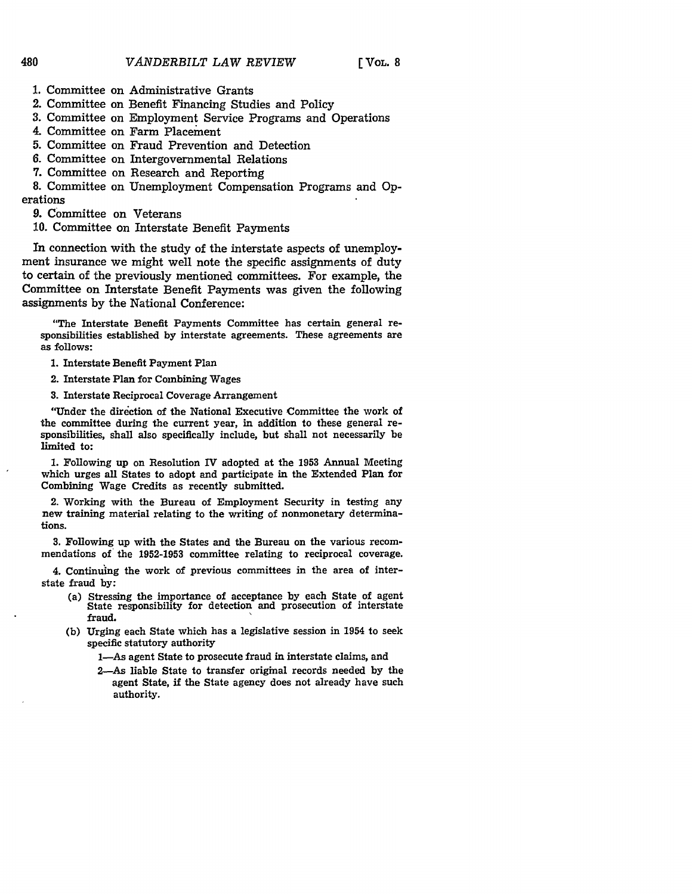- **1.** Committee on Administrative Grants
- 2. Committee on Benefit Financing Studies and Policy
- **3.** Committee on Employment Service Programs and Operations
- 4. Committee on Farm Placement
- **5.** Committee on Fraud Prevention and Detection
- *6.* Committee on Intergovernmental Relations
- **7.** Committee on Research and Reporting

8. Committee on Unemployment Compensation Programs and Operations

9. Committee on Veterans

10. Committee on Interstate Benefit Payments

In connection with the study of the interstate aspects of unemployment insurance we might well note the specific assignments of duty to certain of the previously mentioned committees. For example, the Committee on Interstate Benefit Payments was given the following assignments by the National Conference:

"The Interstate Benefit Payments Committee has certain general responsibilities established **by** interstate agreements. These agreements are as follows:

**1.** Interstate Benefit Payment Plan

2. Interstate Plan for Combining Wages

**3.** Interstate Reciprocal Coverage Arrangement

"Under the direction of the National Executive Committee the work of the committee during the current year, in addition to these general responsibilities, shall also specifically include, but shall not necessarily be limited to:

**1.** Following up on Resolution IV adopted at the **1953** Annual Meeting which urges all States to adopt and participate in the Extended Plan for Combining Wage Credits as recently submitted.

2. Working with the Bureau of Employment Security in testing any new training material relating to the writing of nonmonetary determinations.

**3.** Following up with the States and the Bureau on the various recommendations of the 1952-1953 committee relating to reciprocal coverage.

4. Continuing the work of previous committees in the area of interstate fraud **by:**

- (a) Stressing the importance of acceptance by each State of agent State responsibility for detection and prosecution of interstate fraud.
- **(b)** Urging each State which has a legislative session in 1954 to seek specific statutory authority

1-As agent State to prosecute fraud in interstate claims, and

2-As liable State to transfer original records needed **by** the agent State, if the State agency does not already have such authority.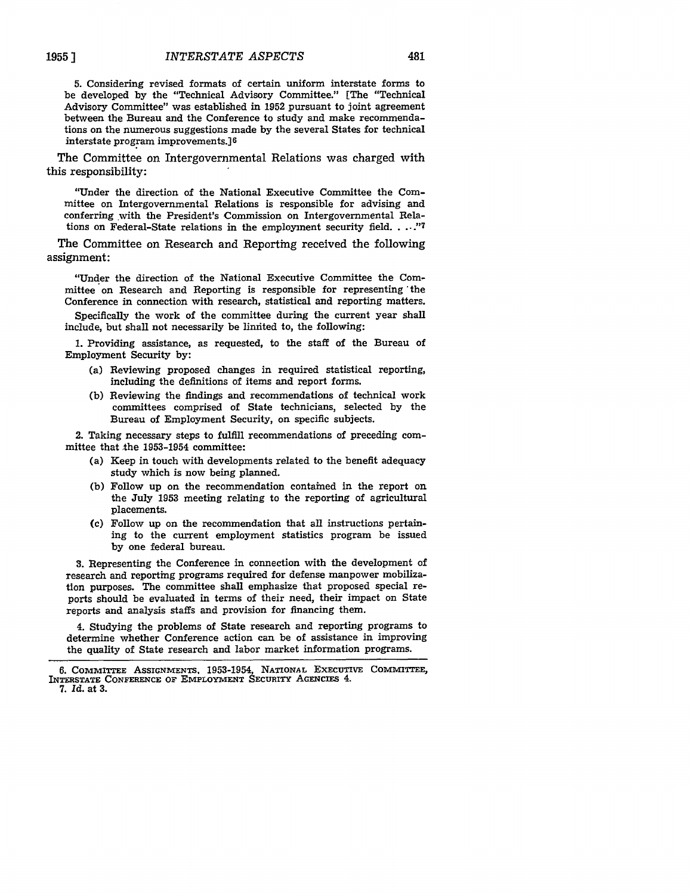**5.** Considering revised formats of certain uniform interstate forms to be developed by the "Technical Advisory Committee." [The "Technical Advisory Committee" was established in **1952** pursuant to joint agreement between the Bureau and the Conference to study and make recommendations on the numerous suggestions made by the several States for technical interstate program improvements.] <sup>6</sup>

481

The Committee on Intergovernmental Relations was charged with this responsibility:

"Under the direction of the National Executive Committee the Committee on Intergovernmental Relations is responsible for advising and conferring with the President's Commission on Intergovernmental Relations on Federal-State relations in the employment security field **.... "**

The Committee on Research and Reporting received the following assignment:

"Under the direction of the National Executive Committee the Committee on Research and Reporting is responsible for representing **'the** Conference in connection with research, statistical and reporting matters.

Specifically the work of the committee during the current year shall include, but shall not necessarily be limited to, the following:

**1.** Providing assistance, as requested, to the staff of the Bureau of Employment Security **by:**

- (a) Reviewing proposed changes in required statistical reporting, including the definitions of items and report forms.
- **(b)** Reviewing the findings and recommendations of technical work committees **comprised** of State technicians, selected **by** the Bureau of Employment Security, on specific subjects.

2. Taking necessary steps to fulfill recommendations of preceding committee that the **1953-1954** committee:

- (a) Keep in touch with developments related to the benefit adequacy study which is now being planned.
- **(b)** Follow up on the recommendation contained in the report on the July **1953** meeting relating to the reporting of agricultural placements.
- (c) Follow up on the recommendation that all instructions pertaining to the current employment statistics program be issued **by** one federal bureau.

**3.** Representing the Conference in connection with the development of research and reporting programs required for defense manpower mobilization purposes. The committee shall emphasize that proposed special reports should be evaluated in terms of their need, their impact on State reports and analysis **staffs** and provision for financing them.

4. Studying the problems of State research and reporting programs to determine whether Conference action can **be** of assistance in improving the quality of State research and labor market information programs.

**<sup>6.</sup> COMMITTEE ASSIGNMENTS,** 1953-1954, **NATIONAL ExEcuTIvE COMMITTEE, INTERSTATE CONFERENCE OF EMPLOYMENT SEcURITY AGENCIES** 4. *7. Id.* at **3.**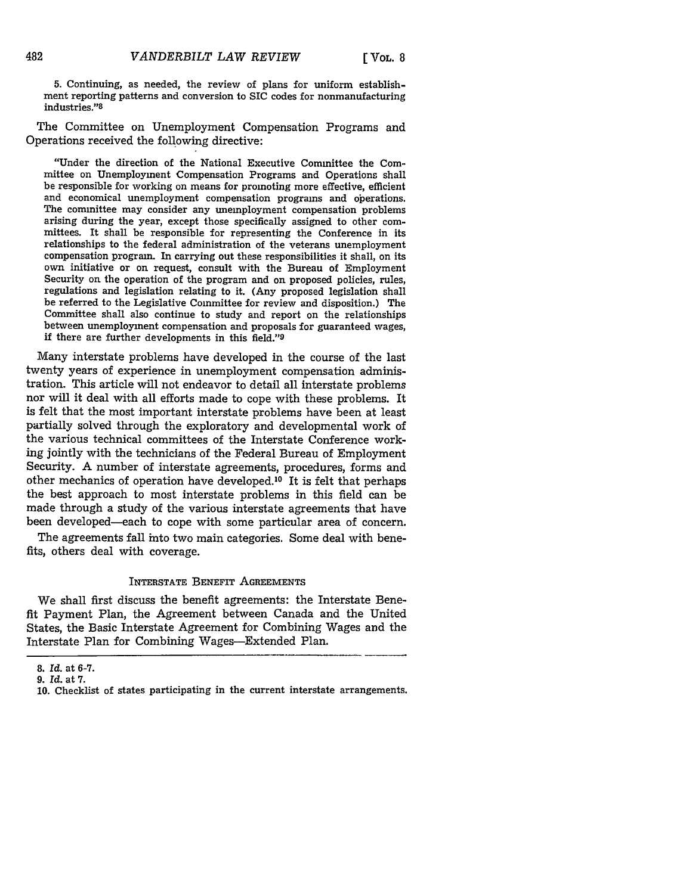**5.** Continuing, as needed, the review of plans for uniform establishment reporting patterns and conversion to SIC codes for nonmanufacturing industries."8

The Committee on Unemployment Compensation Programs and Operations received the following directive:

"Under the direction of the National Executive Committee the Committee on Unemployment Compensation Programs and Operations shall be responsible for working on means for promoting more effective, efficient and economical unemployment compensation programs and operations. The committee may consider any unemployment compensation problems arising during the year, except those specifically assigned to other committees. It shall be responsible for representing the Conference in its relationships to the federal administration of the veterans unemployment compensation program. In carrying out these responsibilities it shall, on its own initiative or on request, consult with the Bureau of Employment Security on the operation of the program and on proposed policies, rules, regulations and legislation relating to it. (Any proposed legislation shall be referred to the Legislative Committee for review and disposition.) The Committee shall also continue to study and report on the relationships between unemployment compensation and proposals for guaranteed wages, if there are further developments in this field."9

Many interstate problems have developed in the course of the last twenty years of experience in unemployment compensation administration. This article will not endeavor to detail all interstate problems nor will it deal with all efforts made to cope with these problems. It is felt that the most important interstate problems have been at least partially solved through the exploratory and developmental work of the various technical committees of the Interstate Conference working jointly with the technicians of the Federal Bureau of Employment Security. A number of interstate agreements, procedures, forms and other mechanics of operation have developed.<sup>10</sup> It is felt that perhaps the best approach to most interstate problems in this field can be made through a study of the various interstate agreements that have been developed-each to cope with some particular area of concern.

The agreements fall into two main categories. Some deal with benefits, others deal with coverage.

#### INTERSTATE BENEFIT AGREEMENTS

We shall first discuss the benefit agreements: the Interstate Benefit Payment Plan, the Agreement between Canada and the United States, the Basic Interstate Agreement for Combining Wages and the Interstate Plan for Combining Wages-Extended Plan.

<sup>8.</sup> *Id.* at 6-7.

*<sup>9.</sup> Id.* at 7.

<sup>10.</sup> Checklist of states participating in the current interstate arrangements.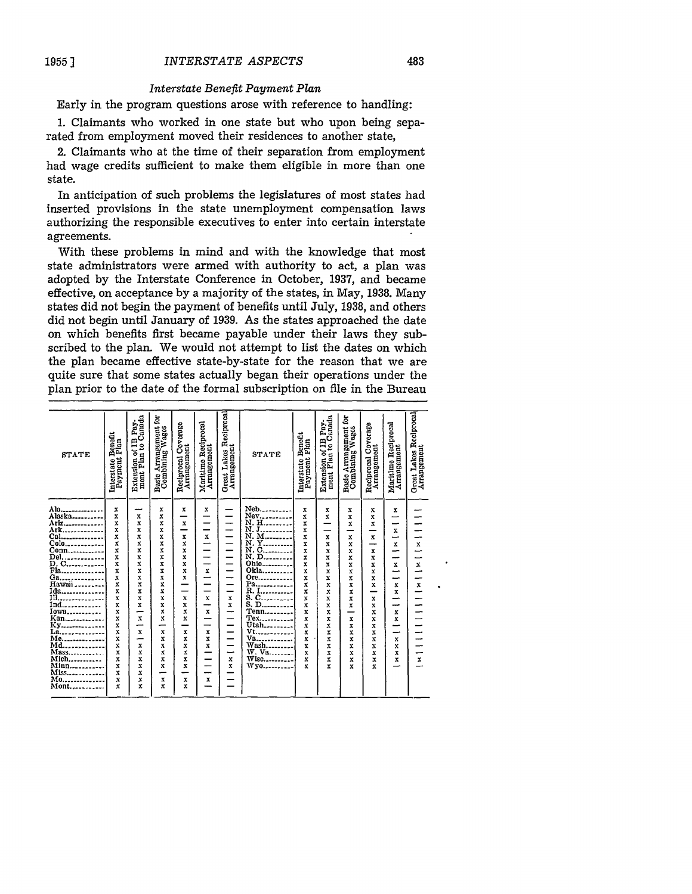#### *Interstate Benefit Payment Plan*

Early in the program questions arose with reference to handling:

1. Claimants who worked in one state but who upon being separated from employment moved their residences to another state,

2. Claimants who at the time of their separation from employment had wage credits sufficient to make them eligible in more than one state.

In anticipation of such problems the legislatures of most states had inserted provisions in the state unemployment compensation laws authorizing the responsible executives to enter into certain interstate agreements.

With these problems in mind and with the knowledge that most state administrators were armed with authority to act, a plan was adopted by the Interstate Conference in October, 1937, and became effective, on acceptance by a majority of the states, in May, 1938. Many states did not begin the payment of benefits until July, 1938, and others did not begin until January of 1939. As the states approached the date on which benefits first became payable under their laws they subscribed to the plan. We would not attempt to list the dates on which the plan became effective state-by-state for the reason that we are quite sure that some states actually began their operations under the plan prior to the date of the formal subscription on file in the Bureau

| Extension of IB Pay-<br>ment Plan to Canada<br>of IB Pay-<br>in to Canada<br>Basic Arrangement for<br>Combining Wages<br>Basic Arrangement for<br>Combining Wages<br>Maritime Reciprocal<br>Arrangement<br>seciprocal Coverage<br>Arrangement<br>Maritime Reciprocal<br>Arrangement<br>Reciprocal Coverage<br>Arrangement<br>Bonefit<br>Plan<br>Interstate Benefit<br>Payment Plan<br>Extension of II<br>ment Plan to<br>STATE<br><b>STATE</b><br>Reciprocal<br>Interstate E<br>Payment I<br>Neb<br>Ala.<br>x<br>x<br>x<br>x<br>x<br>x<br>X<br>x<br>x<br>Alaska<br>X<br>x<br>x<br>x<br>$\mathbf{x}$<br>x<br>x<br>-<br>⊸<br>Ariz<br>x<br>X<br>x<br>x<br>$\bf x$<br>-<br>–<br>x<br>x<br>╾<br>x<br>X<br>X<br>x<br>$\mathbf{x}$<br>-<br>x<br>x<br>x<br>x<br>-<br>$\boldsymbol{\mathrm{x}}$<br>x<br>x<br>x<br>x<br>⊸<br>X<br>x<br>x<br>x<br>X<br>x<br>$\mathbf{x}$<br>x<br>x<br>x<br>X<br>x<br>X<br>x<br>X<br>x<br>x<br>-<br>x<br>x<br>x<br>x<br>x<br>x<br>X<br>x<br>--<br>Ohio<br>x<br>x<br>x<br>x<br>X<br>$\mathbf x$<br>-<br>X<br>X<br>X<br>-<br>x<br>Fla<br>Ökla<br>X<br>x<br>X<br>X<br>X<br>x<br>-<br>x<br>X<br>X<br>⊸<br>Ore<br>X<br>x<br>X<br>X<br>x<br>$\frac{1}{2}$ Hawaii<br>-<br>X<br>x<br>x<br>⊸<br>Pa<br>x<br>x<br>x<br>X<br>x<br>-<br>X<br>x<br>x<br>x<br>Ida<br>Ill<br>R. I<br>x<br>X<br>x<br>x<br>-<br>_<br>x<br>x<br>x<br>$\overline{\phantom{a}}$ $\overline{\phantom{a}}$ $\overline{\phantom{a}}$ $\overline{\phantom{a}}$ $\overline{\phantom{a}}$ $\overline{\phantom{a}}$ $\overline{\phantom{a}}$ $\overline{\phantom{a}}$ $\overline{\phantom{a}}$ $\overline{\phantom{a}}$ $\overline{\phantom{a}}$ $\overline{\phantom{a}}$ $\overline{\phantom{a}}$ $\overline{\phantom{a}}$ $\overline{\phantom{a}}$ $\overline{\phantom{a}}$ $\overline{\phantom{a}}$ $\overline{\phantom{a}}$ $\overline{\$<br>X<br>X<br>X<br>X<br>X<br>$\mathbf x$<br>$\bf x$<br>X<br>x<br>$\bf x$<br>—<br>Ind<br>x<br>x<br>X<br>X<br>x<br>x<br>x<br>$\mathbf x$<br>x<br>--<br>Iowa<br>Kan<br>Tenn<br>x<br>x<br>X<br>x<br>x<br>x<br>x<br>x<br>-<br>-<br>Tex<br>x<br>x<br>x<br>x<br>x<br>$\mathbf{x}$<br>$\mathbf{x}$<br>x<br>-<br>x<br>Ky<br>La<br>Utah<br>Vt<br>X<br>X<br>x<br>-<br>x<br>x<br>╌<br>-<br>X<br>X<br>x<br>x<br>x<br>x<br>X<br>x<br>x<br>Va<br>Me<br>X<br>X<br>X<br>x<br>x<br>x<br>----------<br>x<br>x<br>$\mathbf x$<br>-<br>Md.<br>Wash<br>W. Va<br>Wisc<br>X<br>X<br>X<br>x<br>x<br>X<br>X<br>$\bf x$<br><br>x<br>x<br>Mass<br>x<br>x<br>X<br>X<br>x<br>x<br>x<br>X<br>x<br>-<br>Mich<br>Minn<br>X<br>X<br>x<br>x<br>x<br>x<br>$\mathbf x$<br>x<br>X<br>x<br>x<br>Wyo<br>x<br>x<br>x<br>x<br>x<br>x<br>x<br>x<br>$\bf{x}$<br>.<br>--<br>Miss<br>x<br>x<br>-<br>Mo<br>X<br>X<br>x<br>X<br>x<br>------------<br>Mont<br>x<br>x<br>x<br>x |  |  |  |                                       |  |  |  |                                       |
|----------------------------------------------------------------------------------------------------------------------------------------------------------------------------------------------------------------------------------------------------------------------------------------------------------------------------------------------------------------------------------------------------------------------------------------------------------------------------------------------------------------------------------------------------------------------------------------------------------------------------------------------------------------------------------------------------------------------------------------------------------------------------------------------------------------------------------------------------------------------------------------------------------------------------------------------------------------------------------------------------------------------------------------------------------------------------------------------------------------------------------------------------------------------------------------------------------------------------------------------------------------------------------------------------------------------------------------------------------------------------------------------------------------------------------------------------------------------------------------------------------------------------------------------------------------------------------------------------------------------------------------------------------------------------------------------------------------------------------------------------------------------------------------------------------------------------------------------------------------------------------------------------------------------------------------------------------------------------------------------------------------------------------------------------------------------------------------------------------------------------------------------------------------------------------------------------------------------------------------------------------------------------------------------------------------------------------------------------------------------------------------------------------------------------------------------------------------------------------------------------------------------------------------------------------------------------------------------------------------------------------------------------------------------------------------------------------------------------------------------------|--|--|--|---------------------------------------|--|--|--|---------------------------------------|
|                                                                                                                                                                                                                                                                                                                                                                                                                                                                                                                                                                                                                                                                                                                                                                                                                                                                                                                                                                                                                                                                                                                                                                                                                                                                                                                                                                                                                                                                                                                                                                                                                                                                                                                                                                                                                                                                                                                                                                                                                                                                                                                                                                                                                                                                                                                                                                                                                                                                                                                                                                                                                                                                                                                                                    |  |  |  | Great Lakes Reciprocal<br>Arrangement |  |  |  | Great Lakes Reciprocal<br>Arrangement |
|                                                                                                                                                                                                                                                                                                                                                                                                                                                                                                                                                                                                                                                                                                                                                                                                                                                                                                                                                                                                                                                                                                                                                                                                                                                                                                                                                                                                                                                                                                                                                                                                                                                                                                                                                                                                                                                                                                                                                                                                                                                                                                                                                                                                                                                                                                                                                                                                                                                                                                                                                                                                                                                                                                                                                    |  |  |  |                                       |  |  |  |                                       |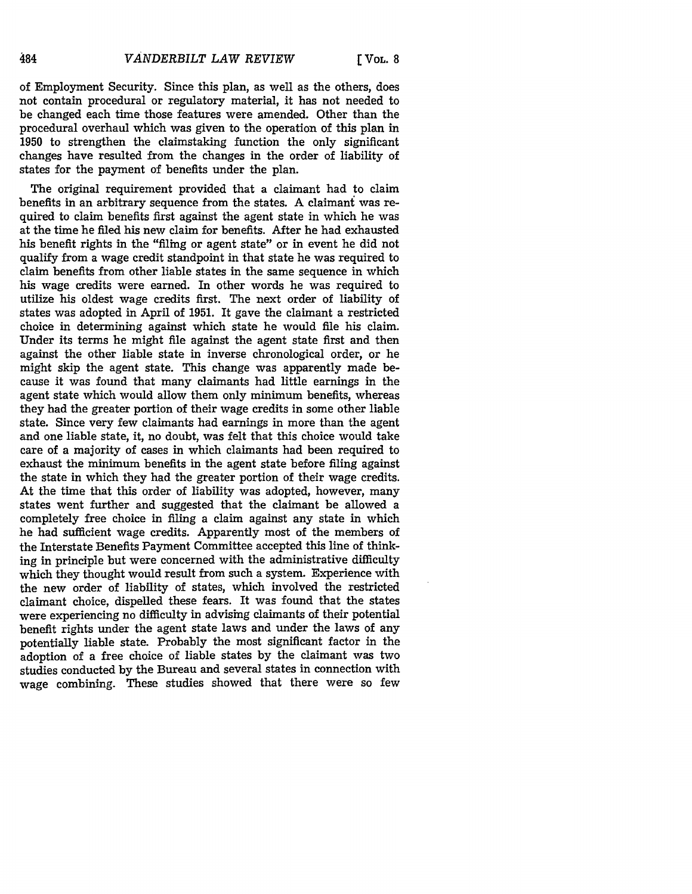of Employment Security. Since this plan, as well as the others, does not contain procedural or regulatory material, it has not needed to be changed each time those features were amended. Other than the procedural overhaul which was given to the operation of this plan in **1950** to strengthen the claimstaking function the only significant changes have resulted from the changes in the order of liability of states for the payment of benefits under the plan.

The original requirement provided that a claimant had to claim benefits in an arbitrary sequence from the states. A claimant was required to claim benefits first against the agent state in which he was at the time he filed his new claim for benefits. After he had exhausted his benefit rights in the "filing or agent state" or in event he did not qualify from a wage credit standpoint in that state he was required to claim benefits from other liable states in the same sequence in which his wage credits were earned. In other words he was required to utilize his oldest wage credits first. The next order of liability of states was adopted in April of 1951. It gave the claimant a restricted choice in determining against which state he would file his claim. Under its terms he might file against the agent state first and then against the other liable state in inverse chronological order, or he might skip the agent state. This change was apparently made because it was found that many claimants had little earnings in the agent state which would allow them only minimum benefits, whereas they had the greater portion of their wage credits in some other liable state. Since very few claimants had earnings in more than the agent and one liable state, it, no doubt, was felt that this choice would take care of a majority of cases in which claimants had been required to exhaust the minimum benefits in the agent state before filing against the state in which they had the greater portion of their wage credits. At the time that this order of liability was adopted, however, many states went further and suggested that the claimant be allowed a completely free choice in filing a claim against any state in which he had sufficient wage credits. Apparently most of the members of the Interstate Benefits Payment Committee accepted this line of thinking in principle but were concerned with the administrative difficulty which they thought would result from such a system. Experience with the new order of liability of states, which involved the restricted claimant choice, dispelled these fears. It was found that the states were experiencing no difficulty in advising claimants of their potential benefit rights under the agent state laws and under the laws of any potentially liable state. Probably the most significant factor in the adoption of a free choice of liable states **by** the claimant was two studies conducted **by** the Bureau and several states in connection with wage combining. These studies showed that there were so few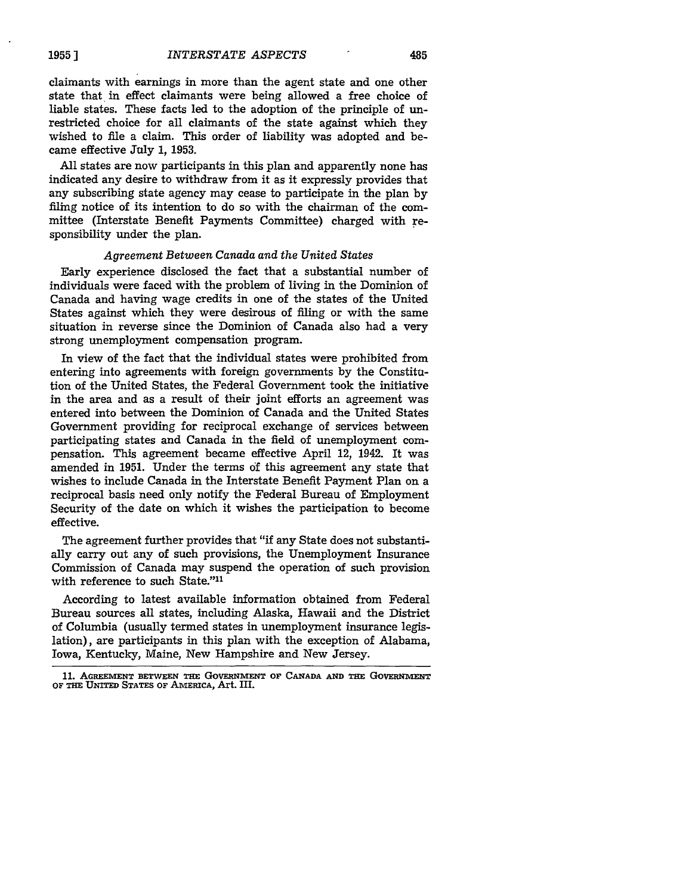claimants with earnings in more than the agent state and one other state that in effect claimants were being allowed a free choice of liable states. These facts led to the adoption of the principle of unrestricted choice for all claimants of the state against which they wished to file a claim. This order of liability was adopted and became effective July **1, 1953.**

**All** states are now participants in this plan and apparently none has indicated any desire to withdraw from it as it expressly provides that any subscribing state agency may cease to participate in the plan **by** filing notice of its intention to do so with the chairman of the committee (Interstate Benefit Payments Committee) charged with responsibility under the plan.

#### *Agreement Between Canada and the United States*

Early experience disclosed the fact that a substantial number of individuals were faced with the problem of living in the Dominion of Canada and having wage credits in one of the states of the United States against which they were desirous of filing or with the same situation in reverse since the Dominion of Canada also had a very strong unemployment compensation program.

In view of the fact that the individual states were prohibited from entering into agreements with foreign governments by the Constitution of the United States, the Federal Government took the initiative in the area and as a result of their joint efforts an agreement was entered into between the Dominion of Canada and the United States Government providing for reciprocal exchange of services between participating states and Canada in the field of unemployment compensation. This agreement became effective April 12, 1942. It was amended in 1951. Under the terms of this agreement any state that wishes to include Canada in the Interstate Benefit Payment Plan on a reciprocal basis need only notify the Federal Bureau of Employment Security of the date on which it wishes the participation to become effective.

The agreement further provides that "if any State does not substantially carry out any of such provisions, the Unemployment Insurance Commission of Canada may suspend the operation of such provision with reference to such State."<sup>11</sup>

According to latest available information obtained from Federal Bureau sources all states, including Alaska, Hawaii and the District of Columbia (usually termed states in unemployment insurance legislation), are participants in this plan with the exception of Alabama, Iowa, Kentucky, Maine, New Hampshire and New Jersey.

<sup>11.</sup> AGREEMENT BETWEEN THE GOVERNMENT OF CANADA AND THE GOVERNMENT **OF THE UNITED STATES OF AMERICA,** Art. **HI.**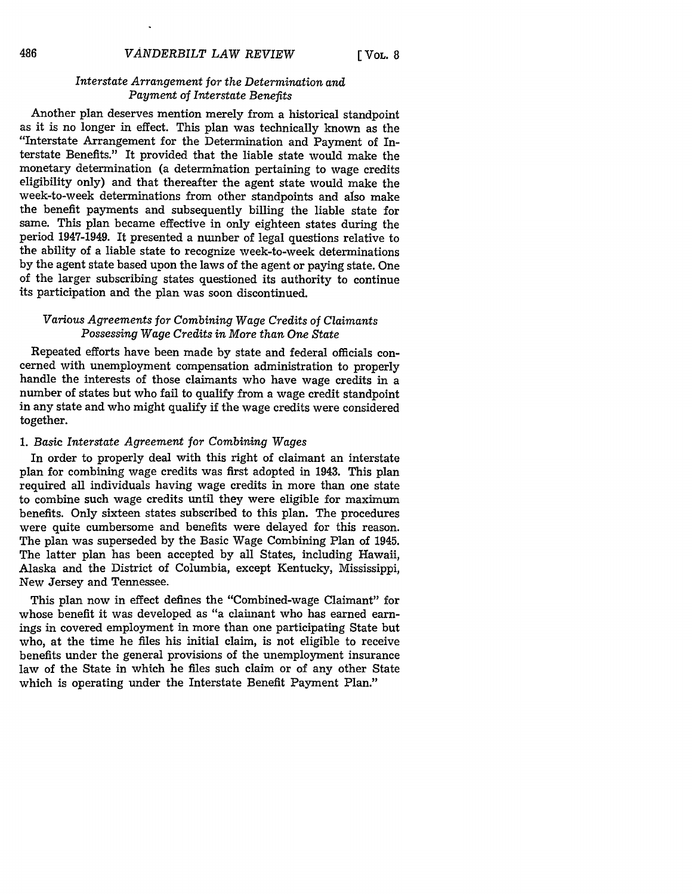## *Interstate Arrangement for the Determination and Payment of Interstate Benefits*

Another plan deserves mention merely from a historical standpoint as it is no longer in effect. This plan was technically known as the "Interstate Arrangement for the Determination and Payment of Interstate Benefits." It provided that the liable state would make the monetary determination (a determination pertaining to wage credits eligibility only) and that thereafter the agent state would make the week-to-week determinations from other standpoints and also make the benefit payments and subsequently billing the liable state for same. This plan became effective in only eighteen states during the period 1947-1949. It presented a number of legal questions relative to the ability of a liable state to recognize week-to-week determinations by the agent state based upon the laws of the agent or paying state. One of the larger subscribing states questioned its authority to continue its participation and the plan was soon discontinued.

## *Various Agreements for Combining Wage Credits of Claimants Possessing Wage Credits in More than One State*

Repeated efforts have been made by state and federal officials concerned with unemployment compensation administration to properly handle the interests of those claimants who have wage credits in a number of states but who fail to qualify from a wage credit standpoint in any state and who might qualify if the wage credits were considered together.

#### *1. Basic Interstate Agreement for Combining Wages*

In order to properly deal with this right of claimant an interstate plan for combining wage credits was first adopted in 1943. This plan required all individuals having wage credits in more than one state to combine such wage credits until they were eligible for maximum benefits. Only sixteen states subscribed to this plan. The procedures were quite cumbersome and benefits were delayed for this reason. The plan was superseded by the Basic Wage Combining Plan of 1945. The latter plan has been accepted by all States, including Hawaii, Alaska and the District of Columbia, except Kentucky, Mississippi, New Jersey and Tennessee.

This plan now in effect defines the "Combined-wage Claimant" for whose benefit it was developed as "a claimant who has earned earnings in covered employment in more than one participating State but who, at the time he files his initial claim, is not eligible to receive benefits under the general provisions of the unemployment insurance law of the State in which he files such claim or of any other State which is operating under the Interstate Benefit Payment Plan."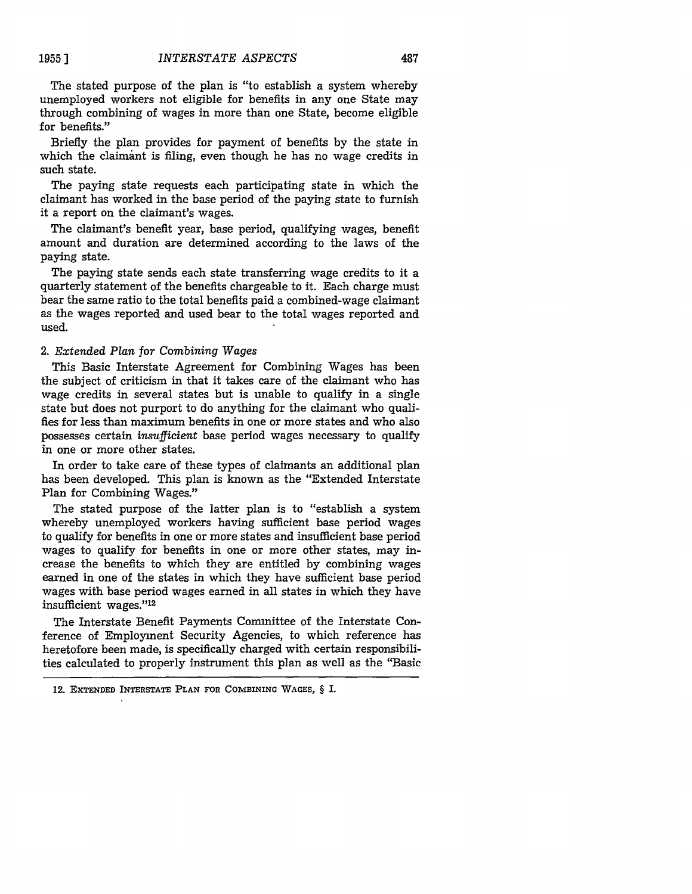The stated purpose of the plan is "to establish a system whereby unemployed workers not eligible for benefits in any one State may through combining of wages in more than one State, become eligible for benefits."

Briefly the plan provides for payment of benefits by the state in which the claimant is filing, even though he has no wage credits in such state.

The paying state requests each participating state in which the claimant has worked in the base period of the paying state to furnish it a report on the claimant's wages.

The claimant's benefit year, base period, qualifying wages, benefit amount and duration are determined according to the laws of the paying state.

The paying state sends each state transferring wage credits to it a quarterly statement of the benefits chargeable to it. Each charge must bear the same ratio to the total benefits paid a combined-wage claimant as the wages reported and used bear to the total wages reported and used.

## 2. *Extended Plan for Combining Wages*

This Basic Interstate Agreement for Combining Wages has been the subject of criticism in that it takes care of the claimant who has wage credits in several states but is unable to qualify in a single state but does not purport to do anything for the claimant who qualifies for less than maximum benefits in one or more states and who also possesses certain *insufficient* base period wages necessary to qualify in one or more other states.

In order to take care of these types of claimants an additional plan has been developed. This plan is known as the "Extended Interstate Plan for Combining Wages."

The stated purpose of the latter plan is to "establish a system whereby unemployed workers having sufficient base period wages to qualify for benefits in one or more states and insufficient base period wages to qualify for benefits in one or more other states, may increase the benefits to which they are entitled by combining wages earned in one of the states in which they have sufficient base period wages with base period wages earned in all states in which they have insufficient wages."<sup>12</sup>

The Interstate Benefit Payments Committee of the Interstate Conference of Employment Security Agencies, to which reference has heretofore been made, is specifically charged with certain responsibilities calculated to properly instrument this plan as well as the "Basic

<sup>12.</sup> **EXTENDED INTERSTATE PLAN FOR** COMBINING **WAGES,** § **I.**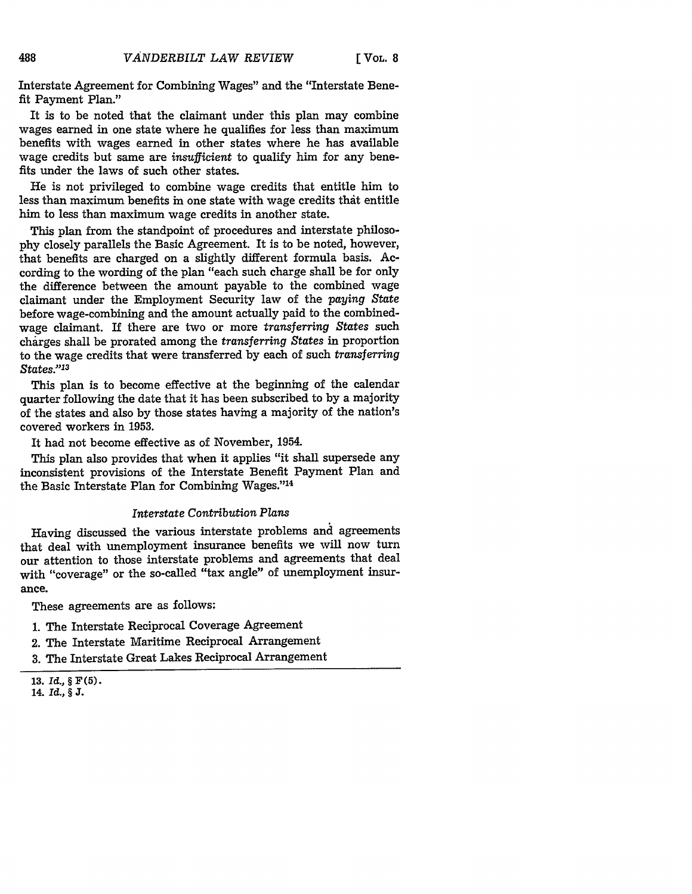**[ VOL. 8**

Interstate Agreement for Combining Wages" and the "Interstate Benefit Payment Plan."

It is to be noted that the claimant under this plan may combine wages earned in one state where he qualifies for less than maximum benefits with wages earned in other states where he has available wage credits but same are *insufficient* to qualify him for any benefits under the laws of such other states.

He is not privileged to combine wage credits that entitle him to less than maximum benefits in one state with wage credits that entitle him to less than maximum wage credits in another state.

This plan from the standpoint of procedures and interstate philoso**phy** closely parallels the Basic Agreement. It is to be noted, however, that benefits are charged on a slightly different formula basis. According to the wording of the plan "each such charge shall be for only the difference between the amount payable to the combined wage claimant under the Employment Security law of the *paying State* before wage-combining and the amount actually paid to the combinedwage claimant. If there are two or more *transferring States* such charges shall be prorated among the *transferring States* in proportion to the wage credits that were transferred by each of such *transferring States."13*

This plan is to become effective at the beginning of the calendar quarter following the date that it has been subscribed to by a majority of the states and also by those states having a majority of the nation's covered workers in 1953.

It had not become effective as of November, 1954.

This plan also provides that when it applies "it shall supersede any inconsistent provisions of the Interstate Benefit Payment Plan and the Basic Interstate Plan for Combining Wages."<sup>14</sup>

### *Interstate Contribution Plans*

Having discussed the various interstate problems and agreements that deal with unemployment insurance benefits we will now turn our attention to those interstate problems and agreements that deal with "coverage" or the so-called "tax angle" of unemployment insurance.

These agreements are as follows:

- 1. The Interstate Reciprocal Coverage Agreement
- 2. The Interstate Maritime Reciprocal Arrangement
- **3.** The Interstate Great Lakes Reciprocal Arrangement

14. *Id.,* **§ J.**

**<sup>13.</sup> Id., § F (5).**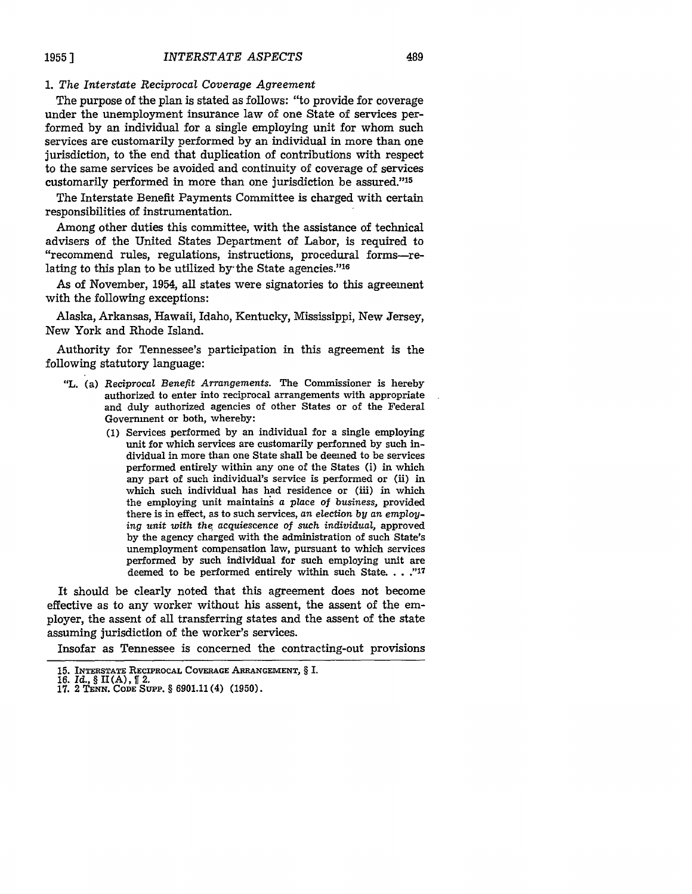## 1. *The Interstate Reciprocal Coverage Agreement*

The purpose of the plan is stated as follows: "to provide for coverage under the unemployment insurance law of one State of services performed by an individual for a single employing unit for whom such services are customarily performed by an individual in more than one jurisdiction, to the end that duplication of contributions with respect to the same services be avoided and continuity of coverage of services customarily performed in more than one jurisdiction be assured."<sup>15</sup>

The Interstate Benefit Payments Committee is charged with certain responsibilities of instrumentation.

Among other duties this committee, with the assistance of technical advisers of the United States Department of Labor, is required to "recommend rules, regulations, instructions, procedural forms-relating to this plan to be utilized by the State agencies."<sup>16</sup>

As of November, 1954, all states were signatories to this agreement with the following exceptions:

Alaska, Arkansas, Hawaii, Idaho, Kentucky, Mississippi, New Jersey, New York and Rhode Island.

Authority for Tennessee's participation in this agreement is the following statutory language:

- "L. (a) *Reciprocal Benefit Arrangements.* The Commissioner is hereby authorized to enter into reciprocal arrangements with appropriate and duly authorized agencies of other States or of the Federal Government or both, whereby:
	- (1) Services performed by an individual for a single employing unit for which services are customarily performed by such individual in more than one State shall be deemed to be services performed entirely within any one of the States (i) in which any part of such individual's service is performed or (ii) in which such individual has had residence or (iii) in which the employing unit maintains a place of *business,* provided there is in effect, as to such services, *an election by an employing unit with the, acquiescence* of *such individual,* approved by the agency charged with the administration of such State's unemployment compensation law, pursuant to which services performed by such individual for such employing unit are deemed to be performed entirely within such State. . . . "17

It should be clearly noted that this agreement does not become effective as to any worker without his assent, the assent of the employer, the assent of all transferring states and the assent of the state assuming jurisdiction of the worker's services.

Insofar as Tennessee is concerned the contracting-out provisions

**<sup>15.</sup> INTERSTATE RECIPROCAL COVERAGE ARRANGEMENT,** § I.

**<sup>16.</sup>** *Id., §* **II** (A), 2. 17. 2 **TENN. CODE SUPP.** § 6901.11(4) (1950).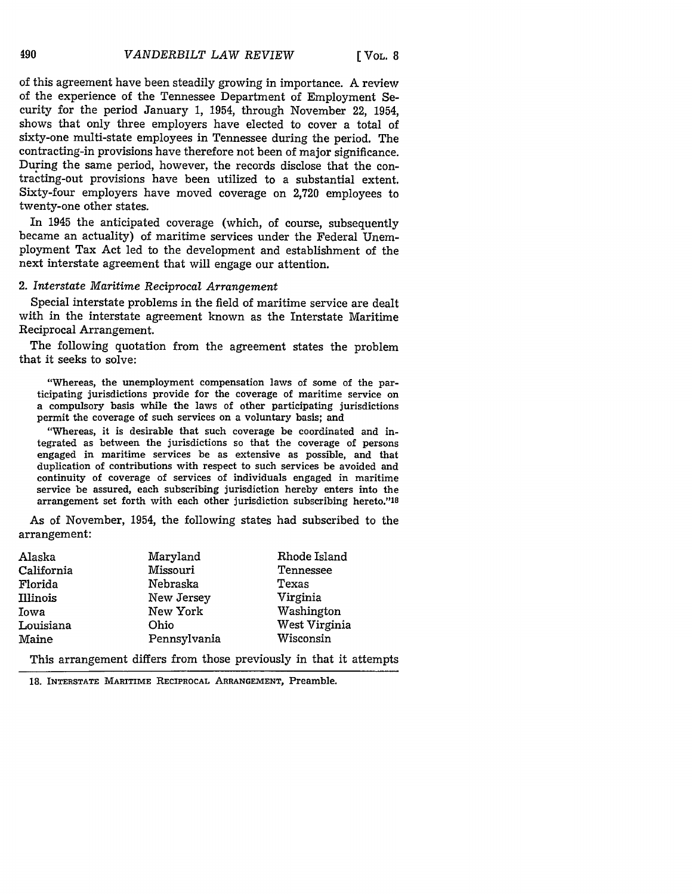of this agreement have been steadily growing in importance. A review of the experience of the Tennessee Department of Employment Security for the period January 1, 1954, through November 22, 1954, shows that only three employers have elected to cover a total of sixty-one multi-state employees in Tennessee during the period. The contracting-in provisions have therefore not been of major significance. During the same period, however, the records disclose that the contracting-out provisions have been utilized to a substantial extent. Sixty-four employers have moved coverage on 2,720 employees to twenty-one other states.

In 1945 the anticipated coverage (which, of course, subsequently became an actuality) of maritime services under the Federal Unemployment Tax Act led to the development and establishment of the next interstate agreement that will engage our attention.

#### 2. *Interstate Maritime Reciprocal Arrangement*

Special interstate problems in the field of maritime service are dealt with in the interstate agreement known as the Interstate Maritime Reciprocal Arrangement.

The following quotation from the agreement states the problem that it seeks to solve:

"Whereas, the unemployment compensation laws of some of the participating jurisdictions provide for the coverage of maritime service on a compulsory basis while the laws of other participating jurisdictions permit the coverage of such services on a voluntary basis; and

"Whereas, it is desirable that such coverage be coordinated and integrated as between the jurisdictions so that the coverage of persons engaged in maritime services be as extensive as possible, and that duplication of contributions with respect to such services be avoided and continuity of coverage of services of individuals engaged in maritime service be assured, each subscribing jurisdiction hereby enters into the arrangement set forth with each other jurisdiction subscribing hereto."18

As of November, 1954, the following states had subscribed to the arrangement:

| Alaska     | Maryland     | Rhode Island  |
|------------|--------------|---------------|
| California | Missouri     | Tennessee     |
| Florida    | Nebraska     | Texas         |
| Illinois   | New Jersey   | Virginia      |
| Iowa       | New York     | Washington    |
| Louisiana  | Ohio         | West Virginia |
| Maine      | Pennsylvania | Wisconsin     |

This arrangement differs from those previously in that it attempts

**18. INTERSTATE** MARITIME **RECIPROCAL ARRANGEMENT,** Preamble.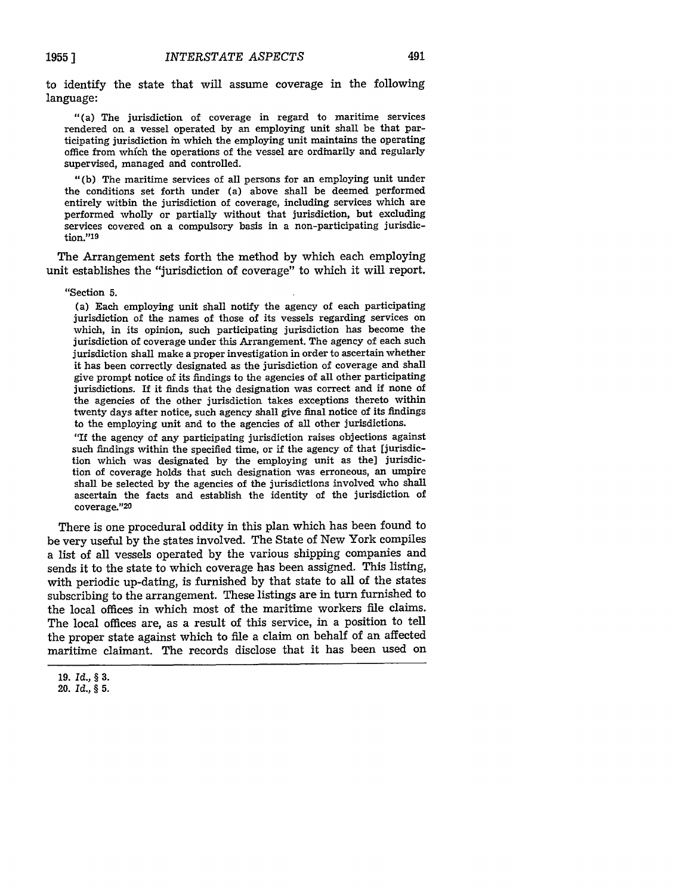to identify the state that will assume coverage in the following language:

"(a) The jurisdiction of coverage in regard to maritime services rendered on a vessel operated by an employing unit shall be that participating jurisdiction in which the employing unit maintains the operating office from whfch the operations of the vessel are ordinarily and regularly supervised, managed and controlled.

"(b) The maritime services of all persons for an employing unit under the conditions set forth under (a) above shall be deemed performed entirely within the jurisdiction of coverage, including services which are performed wholly or partially without that jurisdiction, but excluding services covered on a compulsory basis in a non-participating jurisdiction."<sup>19</sup>

The Arrangement sets forth the method by which each employing unit establishes the "jurisdiction of coverage" to which it will report.

#### "Section **5.**

**1955 ]**

(a) Each employing unit shall notify the agency of each participating jurisdiction of the names of those of its vessels regarding services on which, in its opinion, such participating jurisdiction has become the jurisdiction of coverage under this Arrangement. The agency of each such jurisdiction shall make a proper investigation in order to ascertain whether it has been correctly designated as the jurisdiction of coverage and shall give prompt notice of its findings to the agencies of all other participating jurisdictions. If it finds that the designation was correct and if none of the agencies of the other jurisdiction takes exceptions thereto within twenty days after notice, such agency shall give final notice of its findings to the employing unit and to the agencies of all other jurisdictions.

"If the agency of any participating jurisdiction raises objections against such findings within the specified time, or if the agency of that [jurisdiction which was designated by the employing unit as the] jurisdiction of coverage holds that such designation was erroneous, an umpire shall be selected by the agencies of the jurisdictions involved who shall ascertain the facts and establish the identity of the jurisdiction of coverage."<sup>20</sup>

There is one procedural oddity in this plan which has been found to be very useful by the states involved. The State of New York compiles a list of all vessels operated by the various shipping companies and sends it to the state to which coverage has been assigned. This listing, with periodic up-dating, is furnished by that state to all of the states subscribing to the arrangement. These listings are in turn furnished to the local offices in which most of the maritime workers file claims. The local offices are, as a result of this service, in a position to tell the proper state against which to file a claim on behalf of an affected maritime claimant. The records disclose that it has been used on

**<sup>19.</sup>** *Id.,* **§ 3.**

<sup>20.</sup> *Id.,* § 5.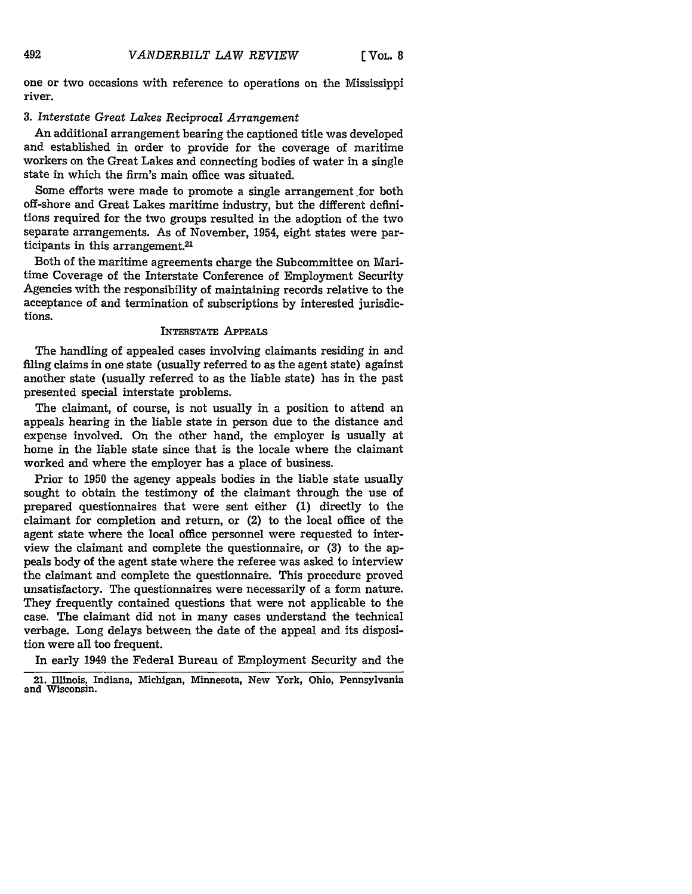one or two occasions with reference to operations on the Mississippi river.

## **3.** *Interstate Great Lakes Reciprocal Arrangement*

An additional arrangement bearing the captioned title was developed and established in order to provide for the coverage of maritime workers on the Great Lakes and connecting bodies of water in a single state in which the firm's main office was situated.

Some efforts were made to promote a single arrangement.for both off-shore and Great Lakes maritime industry, but the different definitions required for the two groups resulted in the adoption of the two separate arrangements. As of November, 1954, eight states were participants in this arrangement.<sup>21</sup>

Both of the maritime agreements charge the Subcommittee on Maritime Coverage of the Interstate Conference of Employment Security Agencies with the responsibility of maintaining records relative to the acceptance of and termination of subscriptions by interested jurisdictions.

## **INTERSTATE** APPEALS

The handling of appealed cases involving claimants residing in and filing claims in one state (usually referred to as the agent state) against another state (usually referred to as the liable state) has in the past presented special interstate problems.

The claimant, of course, is not usually in a position to attend an appeals hearing in the liable state in person due to the distance and expense involved. On the other hand, the employer is usually at home in the liable state since that is the locale where the claimant worked and where the employer has a place of business.

Prior to 1950 the agency appeals bodies in the liable state usually sought to obtain the testimony of the claimant through the use of prepared questionnaires that were sent either (1) directly to the claimant for completion and return, or (2) to the local office of the agent state where the local office personnel were requested to interview the claimant and complete the questionnaire, or **(3)** to the appeals body of the agent state where the referee was asked to interview the claimant and complete the questionnaire. This procedure proved unsatisfactory. The questionnaires were necessarily of a form nature. They frequently contained questions that were not applicable to the case. The claimant did not in many cases understand the technical verbage. Long delays between the date of the appeal and its disposition were all too frequent.

In early 1949 the Federal Bureau of Employment Security and the

<sup>21.</sup> Illinois, Indiana, Michigan, Minnesota, New York, Ohio, Pennsylvania and Wisconsin.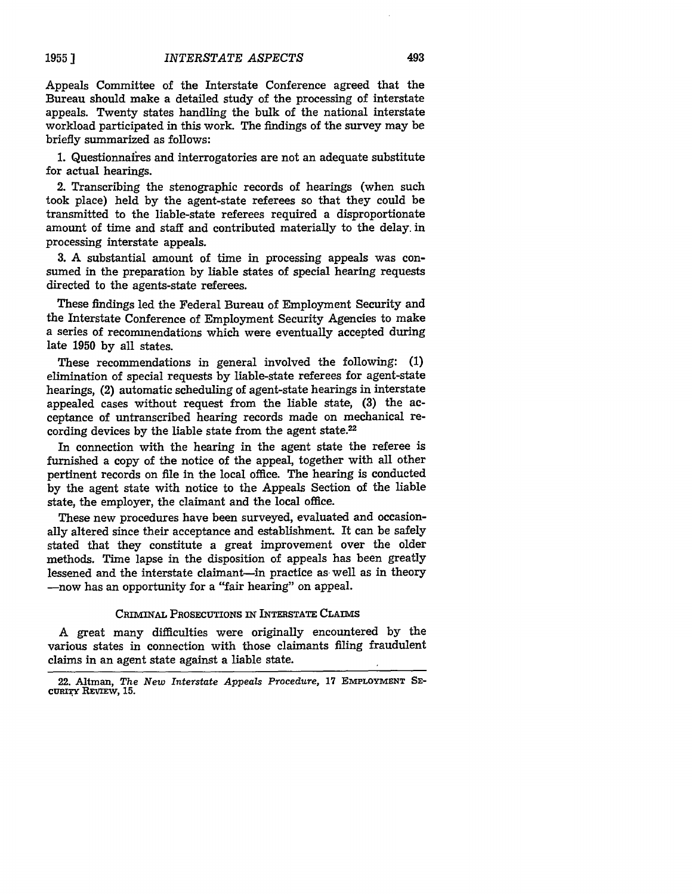493

Appeals Committee of the Interstate Conference agreed that the Bureau should make a detailed study of the processing of interstate appeals. Twenty states handling the bulk of the national interstate workload participated in this work. The findings of the survey may be briefly summarized as follows:

1. Questionnaires and interrogatories are not an adequate substitute for actual hearings.

2. Transcribing the stenographic records of hearings (when such took place) held by the agent-state referees so that they could be transmitted to the liable-state referees required a disproportionate amount of time and staff and contributed materially to the delay. in processing interstate appeals.

3. A substantial amount of time in processing appeals was consumed in the preparation by liable states of special hearing requests directed to the agents-state referees.

These findings led the Federal Bureau of Employment Security and the Interstate Conference of Employment Security Agencies to make a series of recommendations which were eventually accepted during late 1950 by all states.

These recommendations in general involved the following: **(1)** elimination of special requests by liable-state referees for agent-state hearings, (2) automatic scheduling of agent-state hearings in interstate appealed cases without request from the liable state, (3) the acceptance of untranscribed hearing records made on mechanical recording devices by the liable state from the agent state.<sup>22</sup>

In connection with the hearing in the agent state the referee is furnished a copy of the notice of the appeal, together with all other pertinent records on file in the local office. The hearing is conducted by the agent state with notice to the Appeals Section of the liable state, the employer, the claimant and the local office.

These new procedures have been surveyed, evaluated and occasionally altered since their acceptance and establishment. It can be safely stated that they constitute a great improvement over the older methods. Time lapse in the disposition of appeals has been greatly lessened and the interstate claimant-in practice as well as in theory -now has an opportunity for a "fair hearing" on appeal.

#### CRIMINAL PROSECUTIONS IN INTERSTATE CLAIMS

A great many difficulties were originally encountered **by** the various states in connection with those claimants filing fraudulent claims in an agent state against a liable state.

**<sup>22.</sup>** Altman, *The New Interstate Appeals Procedure,* **17 EMPLOYMENT SE**cu **. r REVIw, 15.**